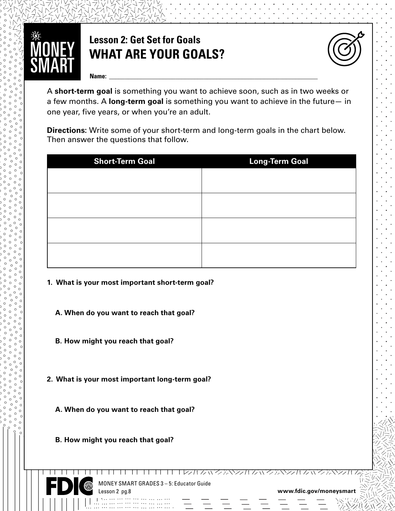

## **Lesson 2: Get Set for Goals WHAT ARE YOUR GOALS?**



**Name: \_\_\_\_\_\_\_\_\_\_\_\_\_\_\_\_\_\_\_\_\_\_\_\_\_\_\_\_\_\_\_\_\_\_\_\_\_\_\_\_\_\_\_\_\_\_\_\_\_\_\_\_\_\_\_\_\_\_\_\_\_\_\_\_\_\_**

A **short-term goal** is something you want to achieve soon, such as in two weeks or a few months. A **long-term goal** is something you want to achieve in the future— in one year, five years, or when you're an adult.

**Directions:** Write some of your short-term and long-term goals in the chart below. Then answer the questions that follow.

| <b>Short-Term Goal</b> | <b>Long-Term Goal</b> |
|------------------------|-----------------------|
|                        |                       |
|                        |                       |
|                        |                       |
|                        |                       |
|                        |                       |
|                        |                       |
|                        |                       |
|                        |                       |

- **1. What is your most important short-term goal?** 
	- **A. When do you want to reach that goal?**
	- **B. How might you reach that goal?**
- **2. What is your most important long-term goal?** 
	- **A. When do you want to reach that goal?**
	- **B. How might you reach that goal?**



www.coooooooooo

MONEY SMART GRADES 3 – 5: Educator Guide Lesson 2 pg.8

11 11 11 11 11 11 1*2*211 23322211 23322211 23322211

**www.fdic.gov/moneysmart**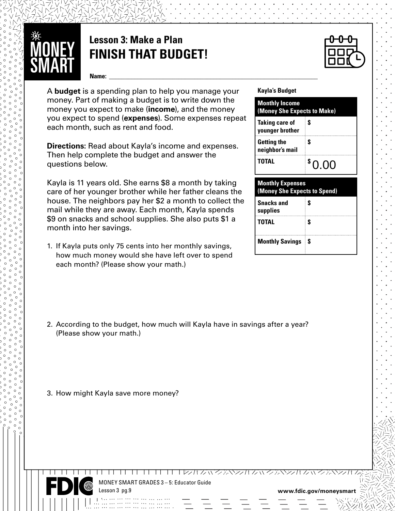

## **Lesson 3: Make a Plan FINISH THAT BUDGET!**

**Name: \_\_\_\_\_\_\_\_\_\_\_\_\_\_\_\_\_\_\_\_\_\_\_\_\_\_\_\_\_\_\_\_\_\_\_\_\_\_\_\_\_\_\_\_\_\_\_\_\_\_\_\_\_\_\_\_\_\_\_\_\_\_\_\_\_\_**

A **budget** is a spending plan to help you manage your money. Part of making a budget is to write down the money you expect to make (**income**), and the money you expect to spend (**expenses**). Some expenses repeat each month, such as rent and food.

**Directions:** Read about Kayla's income and expenses. Then help complete the budget and answer the questions below.

**house. The neighbors pay her \$2 a month to collect t<br>mail while they are away. Each month, Kayla spends** Kayla is 11 years old. She earns \$8 a month by taking care of her younger brother while her father cleans the house. The neighbors pay her \$2 a month to collect the \$9 on snacks and school supplies. She also puts \$1 a month into her savings.

1. If Kayla puts only 75 cents into her monthly savings, how much money would she have left over to spend each month? (Please show your math.)

#### **Kayla's Budget**

| <b>Monthly Income</b><br>(Money She Expects to Make) |       |  |
|------------------------------------------------------|-------|--|
| <b>Taking care of</b><br>younger brother             | S     |  |
| <b>Getting the</b><br>neighbor's mail                | \$    |  |
| <b>TOTAL</b>                                         | 80.00 |  |

| <b>Monthly Expenses</b>       | (Money She Expects to Spend) |  |  |  |
|-------------------------------|------------------------------|--|--|--|
| <b>Snacks and</b><br>supplies | S                            |  |  |  |
| <b>TOTAL</b>                  | S                            |  |  |  |
| <b>Monthly Savings</b>        | S                            |  |  |  |

- 2. According to the budget, how much will Kayla have in savings after a year? (Please show your math.)
- 3. How might Kayla save more money?



www.coooooooooo

MONEY SMART GRADES 3 – 5: Educator Guide Lesson 3 pg.9

ロコロ ロココココラスかんいろふやみかんいろふやみかんいろふ

**www.fdic.gov/moneysmart**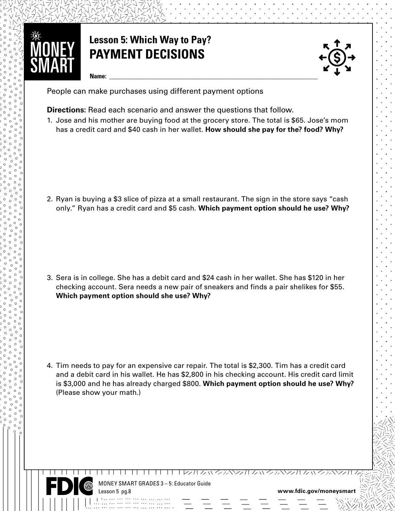

# **Lesson 5: Which Way to Pay? PAYMENT DECISIONS**



**Name: \_\_\_\_\_\_\_\_\_\_\_\_\_\_\_\_\_\_\_\_\_\_\_\_\_\_\_\_\_\_\_\_\_\_\_\_\_\_\_\_\_\_\_\_\_\_\_\_\_\_\_\_\_\_\_\_\_\_\_\_\_\_\_\_\_\_**

People can make purchases using different payment options

**Directions:** Read each scenario and answer the questions that follow.

1. Jose and his mother are buying food at the grocery store. The total is \$65. Jose's mom has a credit card and \$40 cash in her wallet. **How should she pay for the? food? Why?**

**www.fdic.gov/moneysmart** only." Ryan has a credit card and \$5 cash. **Which payment option should he use? Why?**  2. Ryan is buying a \$3 slice of pizza at a small restaurant. The sign in the store says "cash

3. Sera is in college. She has a debit card and \$24 cash in her wallet. She has \$120 in her checking account. Sera needs a new pair of sneakers and finds a pair shelikes for \$55. **Which payment option should she use? Why?** 

4. Tim needs to pay for an expensive car repair. The total is \$2,300. Tim has a credit card and a debit card in his wallet. He has \$2,800 in his checking account. His credit card limit is \$3,000 and he has already charged \$800. **Which payment option should he use? Why?** (Please show your math.)



www.coooooooooo

MONEY SMART GRADES 3 – 5: Educator Guide Lesson 5 pg.8

**www.fdic.gov/moneysmart**